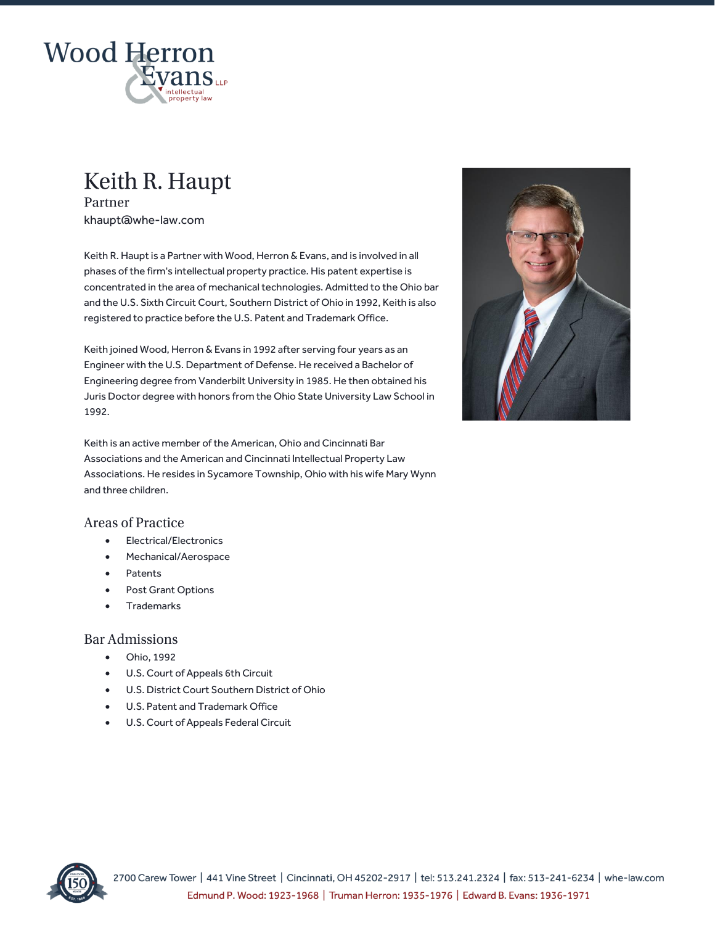

# Keith R. Haupt

Partner khaupt@whe-law.com

Keith R. Haupt is a Partner with Wood, Herron & Evans, and is involved in all phases of the firm's intellectual property practice. His patent expertise is concentrated in the area of mechanical technologies. Admitted to the Ohio bar and the U.S. Sixth Circuit Court, Southern District of Ohio in 1992, Keith is also registered to practice before the U.S. Patent and Trademark Office.

Keith joined Wood, Herron & Evans in 1992 after serving four years as an Engineer with the U.S. Department of Defense. He received a Bachelor of Engineering degree from Vanderbilt University in 1985. He then obtained his Juris Doctor degree with honors from the Ohio State University Law School in 1992.



# **Areas of Practice**

- Electrical/Electronics
- Mechanical/Aerospace
- **Patents**
- Post Grant Options
- Trademarks

# **Bar Admissions**

- Ohio, 1992
- U.S. Court of Appeals 6th Circuit
- U.S. District Court Southern District of Ohio
- U.S. Patent and Trademark Office
- U.S. Court of Appeals Federal Circuit